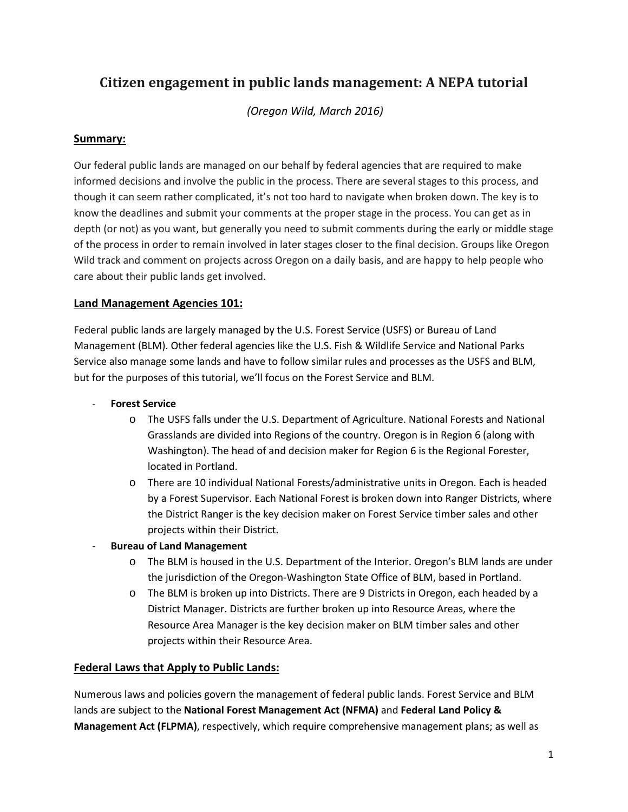# **Citizen engagement in public lands management: A NEPA tutorial**

*(Oregon Wild, March 2016)*

# **Summary:**

Our federal public lands are managed on our behalf by federal agencies that are required to make informed decisions and involve the public in the process. There are several stages to this process, and though it can seem rather complicated, it's not too hard to navigate when broken down. The key is to know the deadlines and submit your comments at the proper stage in the process. You can get as in depth (or not) as you want, but generally you need to submit comments during the early or middle stage of the process in order to remain involved in later stages closer to the final decision. Groups like Oregon Wild track and comment on projects across Oregon on a daily basis, and are happy to help people who care about their public lands get involved.

## **Land Management Agencies 101:**

Federal public lands are largely managed by the U.S. Forest Service (USFS) or Bureau of Land Management (BLM). Other federal agencies like the U.S. Fish & Wildlife Service and National Parks Service also manage some lands and have to follow similar rules and processes as the USFS and BLM, but for the purposes of this tutorial, we'll focus on the Forest Service and BLM.

#### **Forest Service**

- o The USFS falls under the U.S. Department of Agriculture. National Forests and National Grasslands are divided into Regions of the country. Oregon is in Region 6 (along with Washington). The head of and decision maker for Region 6 is the Regional Forester, located in Portland.
- o There are 10 individual National Forests/administrative units in Oregon. Each is headed by a Forest Supervisor. Each National Forest is broken down into Ranger Districts, where the District Ranger is the key decision maker on Forest Service timber sales and other projects within their District.
- **Bureau of Land Management** 
	- o The BLM is housed in the U.S. Department of the Interior. Oregon's BLM lands are under the jurisdiction of the Oregon-Washington State Office of BLM, based in Portland.
	- o The BLM is broken up into Districts. There are 9 Districts in Oregon, each headed by a District Manager. Districts are further broken up into Resource Areas, where the Resource Area Manager is the key decision maker on BLM timber sales and other projects within their Resource Area.

## **Federal Laws that Apply to Public Lands:**

Numerous laws and policies govern the management of federal public lands. Forest Service and BLM lands are subject to the **National Forest Management Act (NFMA)** and **Federal Land Policy & Management Act (FLPMA)**, respectively, which require comprehensive management plans; as well as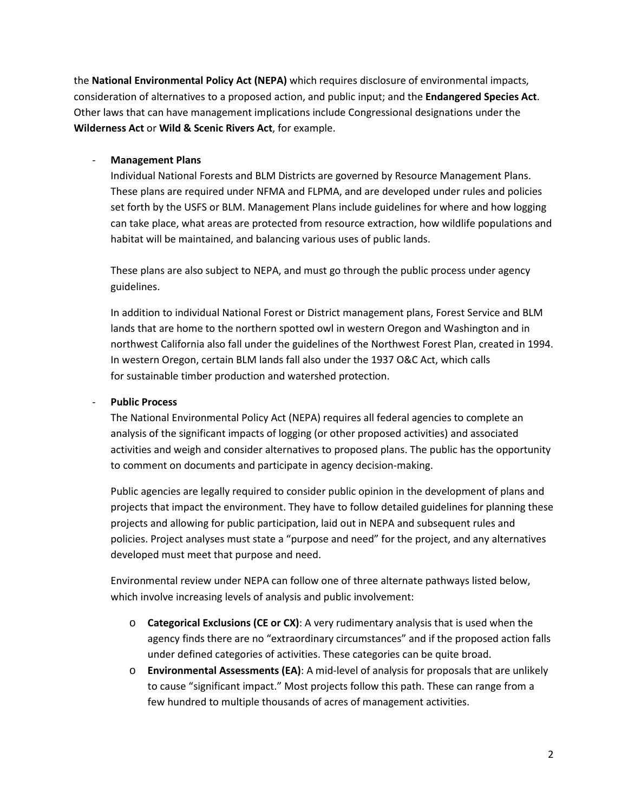the **National Environmental Policy Act (NEPA)** which requires disclosure of environmental impacts, consideration of alternatives to a proposed action, and public input; and the **Endangered Species Act**. Other laws that can have management implications include Congressional designations under the **Wilderness Act** or **Wild & Scenic Rivers Act**, for example.

#### - **Management Plans**

Individual National Forests and BLM Districts are governed by Resource Management Plans. These plans are required under NFMA and FLPMA, and are developed under rules and policies set forth by the USFS or BLM. Management Plans include guidelines for where and how logging can take place, what areas are protected from resource extraction, how wildlife populations and habitat will be maintained, and balancing various uses of public lands.

These plans are also subject to NEPA, and must go through the public process under agency guidelines.

In addition to individual National Forest or District management plans, Forest Service and BLM lands that are home to the northern spotted owl in western Oregon and Washington and in northwest California also fall under the guidelines of the Northwest Forest Plan, created in 1994. In western Oregon, certain BLM lands fall also under the 1937 O&C Act, which calls for sustainable timber production and watershed protection.

#### - **Public Process**

The National Environmental Policy Act (NEPA) requires all federal agencies to complete an analysis of the significant impacts of logging (or other proposed activities) and associated activities and weigh and consider alternatives to proposed plans. The public has the opportunity to comment on documents and participate in agency decision-making.

Public agencies are legally required to consider public opinion in the development of plans and projects that impact the environment. They have to follow detailed guidelines for planning these projects and allowing for public participation, laid out in NEPA and subsequent rules and policies. Project analyses must state a "purpose and need" for the project, and any alternatives developed must meet that purpose and need.

Environmental review under NEPA can follow one of three alternate pathways listed below, which involve increasing levels of analysis and public involvement:

- o **Categorical Exclusions (CE or CX)**: A very rudimentary analysis that is used when the agency finds there are no "extraordinary circumstances" and if the proposed action falls under defined categories of activities. These categories can be quite broad.
- o **Environmental Assessments (EA)**: A mid-level of analysis for proposals that are unlikely to cause "significant impact." Most projects follow this path. These can range from a few hundred to multiple thousands of acres of management activities.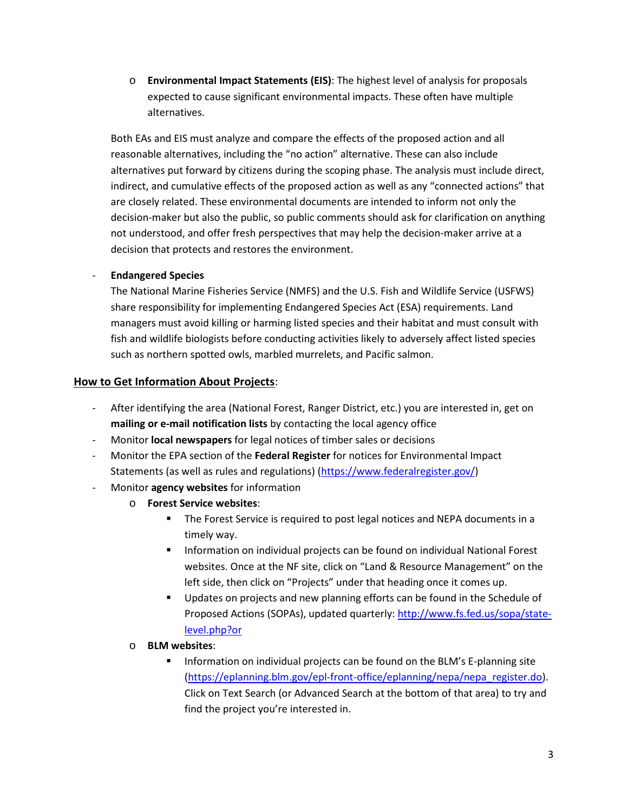o **Environmental Impact Statements (EIS)**: The highest level of analysis for proposals expected to cause significant environmental impacts. These often have multiple alternatives.

Both EAs and EIS must analyze and compare the effects of the proposed action and all reasonable alternatives, including the "no action" alternative. These can also include alternatives put forward by citizens during the scoping phase. The analysis must include direct, indirect, and cumulative effects of the proposed action as well as any "connected actions" that are closely related. These environmental documents are intended to inform not only the decision-maker but also the public, so public comments should ask for clarification on anything not understood, and offer fresh perspectives that may help the decision-maker arrive at a decision that protects and restores the environment.

#### - **Endangered Species**

The National Marine Fisheries Service (NMFS) and the U.S. Fish and Wildlife Service (USFWS) share responsibility for implementing Endangered Species Act (ESA) requirements. Land managers must avoid killing or harming listed species and their habitat and must consult with fish and wildlife biologists before conducting activities likely to adversely affect listed species such as northern spotted owls, marbled murrelets, and Pacific salmon.

#### **How to Get Information About Projects**:

- After identifying the area (National Forest, Ranger District, etc.) you are interested in, get on **mailing or e-mail notification lists** by contacting the local agency office
- Monitor **local newspapers** for legal notices of timber sales or decisions
- Monitor the EPA section of the **Federal Register** for notices for Environmental Impact Statements (as well as rules and regulations) [\(https://www.federalregister.gov/\)](https://www.federalregister.gov/)
- Monitor **agency websites** for information
	- o **Forest Service websites**:
		- The Forest Service is required to post legal notices and NEPA documents in a timely way.
		- **Information on individual projects can be found on individual National Forest** websites. Once at the NF site, click on "Land & Resource Management" on the left side, then click on "Projects" under that heading once it comes up.
		- Updates on projects and new planning efforts can be found in the Schedule of Proposed Actions (SOPAs), updated quarterly[: http://www.fs.fed.us/sopa/state](http://www.fs.fed.us/sopa/state-level.php?or)[level.php?or](http://www.fs.fed.us/sopa/state-level.php?or)
	- o **BLM websites**:
		- Information on individual projects can be found on the BLM's E-planning site [\(https://eplanning.blm.gov/epl-front-office/eplanning/nepa/nepa\\_register.do\)](https://eplanning.blm.gov/epl-front-office/eplanning/nepa/nepa_register.do). Click on Text Search (or Advanced Search at the bottom of that area) to try and find the project you're interested in.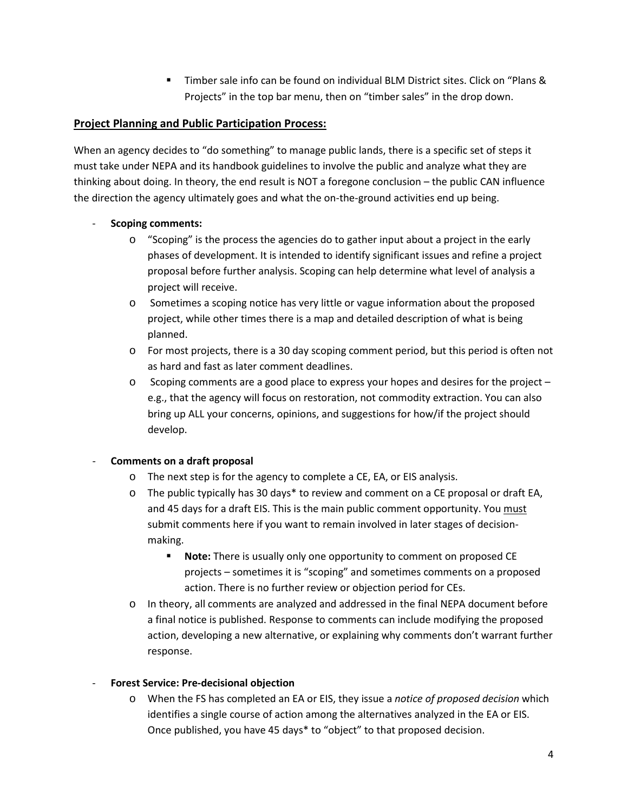Timber sale info can be found on individual BLM District sites. Click on "Plans & Projects" in the top bar menu, then on "timber sales" in the drop down.

## **Project Planning and Public Participation Process:**

When an agency decides to "do something" to manage public lands, there is a specific set of steps it must take under NEPA and its handbook guidelines to involve the public and analyze what they are thinking about doing. In theory, the end result is NOT a foregone conclusion – the public CAN influence the direction the agency ultimately goes and what the on-the-ground activities end up being.

## - **Scoping comments:**

- o "Scoping" is the process the agencies do to gather input about a project in the early phases of development. It is intended to identify significant issues and refine a project proposal before further analysis. Scoping can help determine what level of analysis a project will receive.
- o Sometimes a scoping notice has very little or vague information about the proposed project, while other times there is a map and detailed description of what is being planned.
- o For most projects, there is a 30 day scoping comment period, but this period is often not as hard and fast as later comment deadlines.
- $\circ$  Scoping comments are a good place to express your hopes and desires for the project  $$ e.g., that the agency will focus on restoration, not commodity extraction. You can also bring up ALL your concerns, opinions, and suggestions for how/if the project should develop.

## - **Comments on a draft proposal**

- o The next step is for the agency to complete a CE, EA, or EIS analysis.
- $\circ$  The public typically has 30 days\* to review and comment on a CE proposal or draft EA, and 45 days for a draft EIS. This is the main public comment opportunity. You must submit comments here if you want to remain involved in later stages of decisionmaking.
	- **Note:** There is usually only one opportunity to comment on proposed CE projects – sometimes it is "scoping" and sometimes comments on a proposed action. There is no further review or objection period for CEs.
- o In theory, all comments are analyzed and addressed in the final NEPA document before a final notice is published. Response to comments can include modifying the proposed action, developing a new alternative, or explaining why comments don't warrant further response.

## - **Forest Service: Pre-decisional objection**

o When the FS has completed an EA or EIS, they issue a *notice of proposed decision* which identifies a single course of action among the alternatives analyzed in the EA or EIS. Once published, you have 45 days\* to "object" to that proposed decision.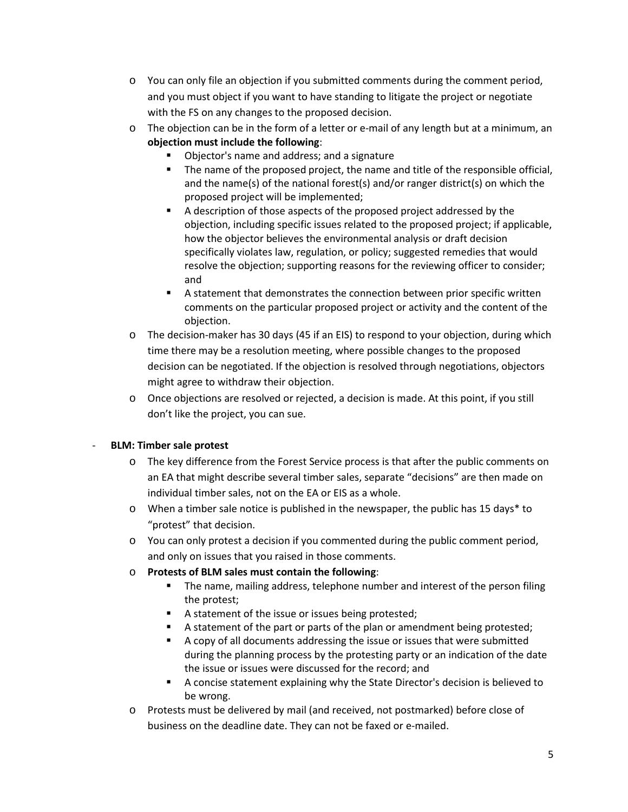- $\circ$  You can only file an objection if you submitted comments during the comment period, and you must object if you want to have standing to litigate the project or negotiate with the FS on any changes to the proposed decision.
- o The objection can be in the form of a letter or e-mail of any length but at a minimum, an **objection must include the following**:
	- Objector's name and address; and a signature
	- The name of the proposed project, the name and title of the responsible official, and the name(s) of the national forest(s) and/or ranger district(s) on which the proposed project will be implemented;
	- A description of those aspects of the proposed project addressed by the objection, including specific issues related to the proposed project; if applicable, how the objector believes the environmental analysis or draft decision specifically violates law, regulation, or policy; suggested remedies that would resolve the objection; supporting reasons for the reviewing officer to consider; and
	- A statement that demonstrates the connection between prior specific written comments on the particular proposed project or activity and the content of the objection.
- o The decision-maker has 30 days (45 if an EIS) to respond to your objection, during which time there may be a resolution meeting, where possible changes to the proposed decision can be negotiated. If the objection is resolved through negotiations, objectors might agree to withdraw their objection.
- o Once objections are resolved or rejected, a decision is made. At this point, if you still don't like the project, you can sue.

## - **BLM: Timber sale protest**

- o The key difference from the Forest Service process is that after the public comments on an EA that might describe several timber sales, separate "decisions" are then made on individual timber sales, not on the EA or EIS as a whole.
- $\circ$  When a timber sale notice is published in the newspaper, the public has 15 days\* to "protest" that decision.
- o You can only protest a decision if you commented during the public comment period, and only on issues that you raised in those comments.

## o **Protests of BLM sales must contain the following**:

- **The name, mailing address, telephone number and interest of the person filing** the protest;
- A statement of the issue or issues being protested;
- A statement of the part or parts of the plan or amendment being protested;
- A copy of all documents addressing the issue or issues that were submitted during the planning process by the protesting party or an indication of the date the issue or issues were discussed for the record; and
- A concise statement explaining why the State Director's decision is believed to be wrong.
- o Protests must be delivered by mail (and received, not postmarked) before close of business on the deadline date. They can not be faxed or e-mailed.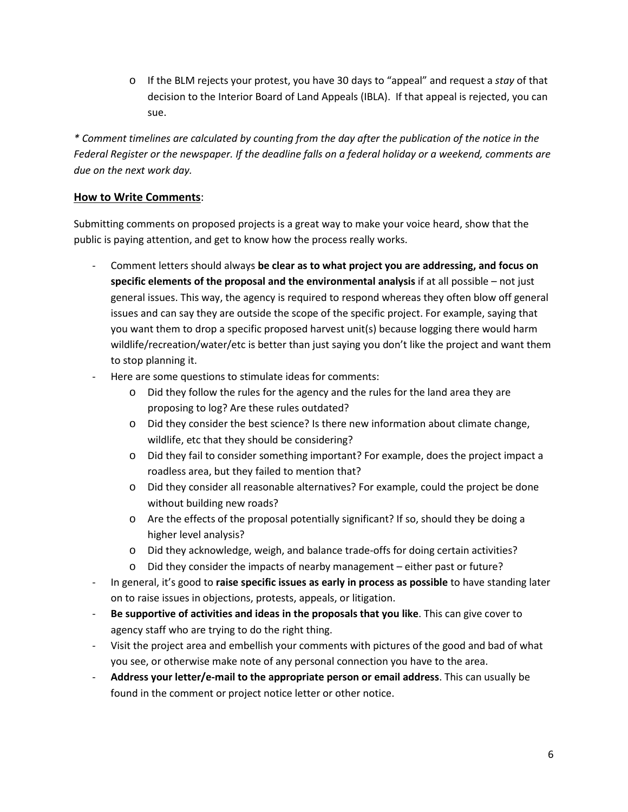o If the BLM rejects your protest, you have 30 days to "appeal" and request a *stay* of that decision to the Interior Board of Land Appeals (IBLA). If that appeal is rejected, you can sue.

*\* Comment timelines are calculated by counting from the day after the publication of the notice in the Federal Register or the newspaper. If the deadline falls on a federal holiday or a weekend, comments are due on the next work day.*

## **How to Write Comments**:

Submitting comments on proposed projects is a great way to make your voice heard, show that the public is paying attention, and get to know how the process really works.

- Comment letters should always **be clear as to what project you are addressing, and focus on specific elements of the proposal and the environmental analysis** if at all possible – not just general issues. This way, the agency is required to respond whereas they often blow off general issues and can say they are outside the scope of the specific project. For example, saying that you want them to drop a specific proposed harvest unit(s) because logging there would harm wildlife/recreation/water/etc is better than just saying you don't like the project and want them to stop planning it.
- Here are some questions to stimulate ideas for comments:
	- o Did they follow the rules for the agency and the rules for the land area they are proposing to log? Are these rules outdated?
	- o Did they consider the best science? Is there new information about climate change, wildlife, etc that they should be considering?
	- o Did they fail to consider something important? For example, does the project impact a roadless area, but they failed to mention that?
	- o Did they consider all reasonable alternatives? For example, could the project be done without building new roads?
	- o Are the effects of the proposal potentially significant? If so, should they be doing a higher level analysis?
	- o Did they acknowledge, weigh, and balance trade-offs for doing certain activities?
	- o Did they consider the impacts of nearby management either past or future?
- In general, it's good to **raise specific issues as early in process as possible** to have standing later on to raise issues in objections, protests, appeals, or litigation.
- **Be supportive of activities and ideas in the proposals that you like**. This can give cover to agency staff who are trying to do the right thing.
- Visit the project area and embellish your comments with pictures of the good and bad of what you see, or otherwise make note of any personal connection you have to the area.
- **Address your letter/e-mail to the appropriate person or email address**. This can usually be found in the comment or project notice letter or other notice.